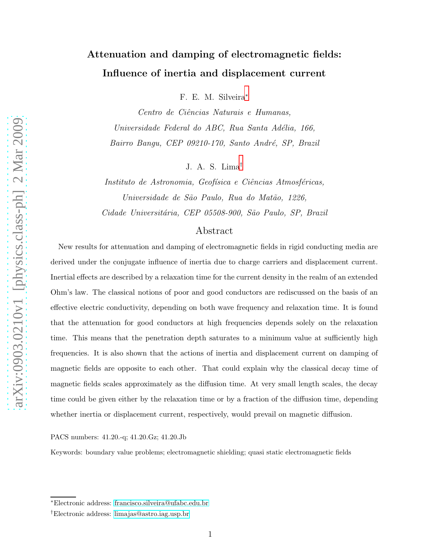# Attenuation and damping of electromagnetic fields: Influence of inertia and displacement current

F. E. M. Silveira[∗](#page-0-0)

Centro de Ciˆencias Naturais e Humanas, Universidade Federal do ABC, Rua Santa Adélia, 166, Bairro Bangu, CEP 09210-170, Santo André, SP, Brazil

J. A. S. Lima[†](#page-0-1)

Instituto de Astronomia, Geofísica e Ciências Atmosféricas, Universidade de São Paulo, Rua do Matão, 1226, Cidade Universitária, CEP 05508-900, São Paulo, SP, Brazil

# Abstract

New results for attenuation and damping of electromagnetic fields in rigid conducting media are derived under the conjugate influence of inertia due to charge carriers and displacement current. Inertial effects are described by a relaxation time for the current density in the realm of an extended Ohm's law. The classical notions of poor and good conductors are rediscussed on the basis of an effective electric conductivity, depending on both wave frequency and relaxation time. It is found that the attenuation for good conductors at high frequencies depends solely on the relaxation time. This means that the penetration depth saturates to a minimum value at sufficiently high frequencies. It is also shown that the actions of inertia and displacement current on damping of magnetic fields are opposite to each other. That could explain why the classical decay time of magnetic fields scales approximately as the diffusion time. At very small length scales, the decay time could be given either by the relaxation time or by a fraction of the diffusion time, depending whether inertia or displacement current, respectively, would prevail on magnetic diffusion.

PACS numbers: 41.20.-q; 41.20.Gz; 41.20.Jb

Keywords: boundary value problems; electromagnetic shielding; quasi static electromagnetic fields

<span id="page-0-1"></span><span id="page-0-0"></span><sup>∗</sup>Electronic address: [francisco.silveira@ufabc.edu.br](mailto:francisco.silveira@ufabc.edu.br)

<sup>†</sup>Electronic address: [limajas@astro.iag.usp.br](mailto:limajas@astro.iag.usp.br)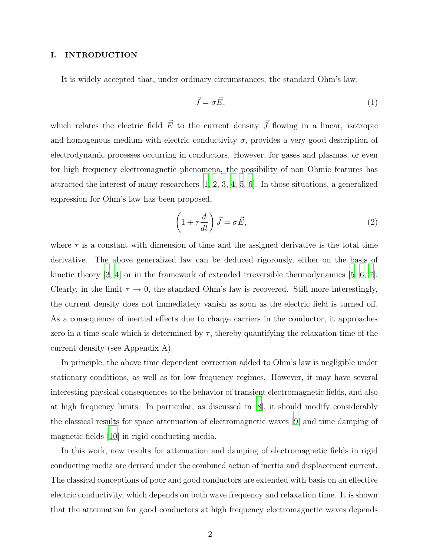## I. INTRODUCTION

It is widely accepted that, under ordinary circumstances, the standard Ohm's law,

$$
\vec{J} = \sigma \vec{E},\tag{1}
$$

which relates the electric field  $\vec{E}$  to the current density  $\vec{J}$  flowing in a linear, isotropic and homogenous medium with electric conductivity  $\sigma$ , provides a very good description of electrodynamic processes occurring in conductors. However, for gases and plasmas, or even for high frequency electromagnetic phenomena, the possibility of non Ohmic features has attracted the interest of many researchers [\[1,](#page-19-0) [2](#page-19-1), [3,](#page-20-0) [4,](#page-20-1) [5](#page-20-2), [6\]](#page-20-3). In those situations, a generalized expression for Ohm's law has been proposed,

<span id="page-1-0"></span>
$$
\left(1 + \tau \frac{d}{dt}\right) \vec{J} = \sigma \vec{E},\tag{2}
$$

where  $\tau$  is a constant with dimension of time and the assigned derivative is the total time derivative. The above generalized law can be deduced rigorously, either on the basis of kinetic theory  $[3, 4]$  $[3, 4]$  or in the framework of extended irreversible thermodynamics  $[5, 6, 7]$  $[5, 6, 7]$  $[5, 6, 7]$ . Clearly, in the limit  $\tau \to 0$ , the standard Ohm's law is recovered. Still more interestingly, the current density does not immediately vanish as soon as the electric field is turned off. As a consequence of inertial effects due to charge carriers in the conductor, it approaches zero in a time scale which is determined by  $\tau$ , thereby quantifying the relaxation time of the current density (see Appendix A).

In principle, the above time dependent correction added to Ohm's law is negligible under stationary conditions, as well as for low frequency regimes. However, it may have several interesting physical consequences to the behavior of transient electromagnetic fields, and also at high frequency limits. In particular, as discussed in [\[8](#page-20-5)], it should modify considerably the classical results for space attenuation of electromagnetic waves [\[9\]](#page-20-6) and time damping of magnetic fields [\[10](#page-20-7)] in rigid conducting media.

In this work, new results for attenuation and damping of electromagnetic fields in rigid conducting media are derived under the combined action of inertia and displacement current. The classical conceptions of poor and good conductors are extended with basis on an effective electric conductivity, which depends on both wave frequency and relaxation time. It is shown that the attenuation for good conductors at high frequency electromagnetic waves depends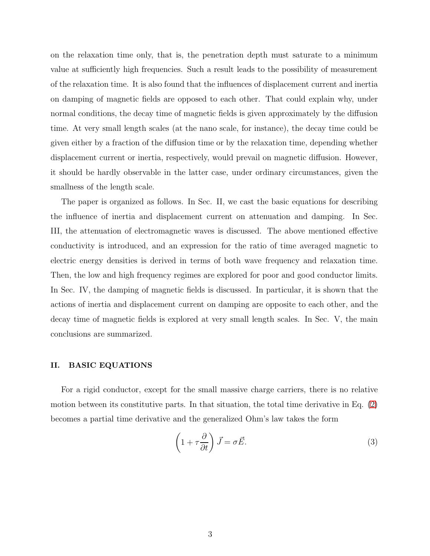on the relaxation time only, that is, the penetration depth must saturate to a minimum value at sufficiently high frequencies. Such a result leads to the possibility of measurement of the relaxation time. It is also found that the influences of displacement current and inertia on damping of magnetic fields are opposed to each other. That could explain why, under normal conditions, the decay time of magnetic fields is given approximately by the diffusion time. At very small length scales (at the nano scale, for instance), the decay time could be given either by a fraction of the diffusion time or by the relaxation time, depending whether displacement current or inertia, respectively, would prevail on magnetic diffusion. However, it should be hardly observable in the latter case, under ordinary circumstances, given the smallness of the length scale.

The paper is organized as follows. In Sec. II, we cast the basic equations for describing the influence of inertia and displacement current on attenuation and damping. In Sec. III, the attenuation of electromagnetic waves is discussed. The above mentioned effective conductivity is introduced, and an expression for the ratio of time averaged magnetic to electric energy densities is derived in terms of both wave frequency and relaxation time. Then, the low and high frequency regimes are explored for poor and good conductor limits. In Sec. IV, the damping of magnetic fields is discussed. In particular, it is shown that the actions of inertia and displacement current on damping are opposite to each other, and the decay time of magnetic fields is explored at very small length scales. In Sec. V, the main conclusions are summarized.

#### II. BASIC EQUATIONS

For a rigid conductor, except for the small massive charge carriers, there is no relative motion between its constitutive parts. In that situation, the total time derivative in Eq. [\(2\)](#page-1-0) becomes a partial time derivative and the generalized Ohm's law takes the form

<span id="page-2-0"></span>
$$
\left(1 + \tau \frac{\partial}{\partial t}\right) \vec{J} = \sigma \vec{E}.\tag{3}
$$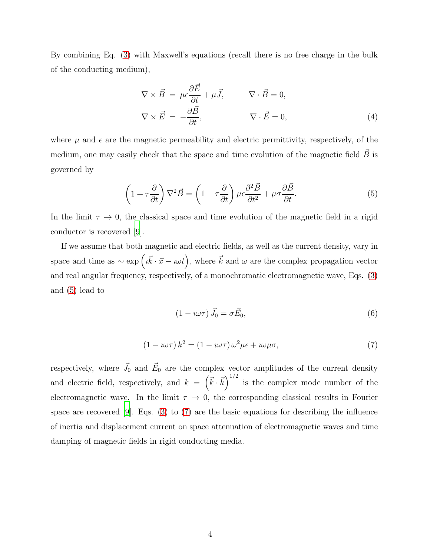By combining Eq. [\(3\)](#page-2-0) with Maxwell's equations (recall there is no free charge in the bulk of the conducting medium),

<span id="page-3-3"></span>
$$
\nabla \times \vec{B} = \mu \epsilon \frac{\partial \vec{E}}{\partial t} + \mu \vec{J}, \qquad \nabla \cdot \vec{B} = 0,
$$
  

$$
\nabla \times \vec{E} = -\frac{\partial \vec{B}}{\partial t}, \qquad \nabla \cdot \vec{E} = 0,
$$
 (4)

where  $\mu$  and  $\epsilon$  are the magnetic permeability and electric permittivity, respectively, of the medium, one may easily check that the space and time evolution of the magnetic field  $\vec{B}$  is governed by

<span id="page-3-0"></span>
$$
\left(1 + \tau \frac{\partial}{\partial t}\right) \nabla^2 \vec{B} = \left(1 + \tau \frac{\partial}{\partial t}\right) \mu \epsilon \frac{\partial^2 \vec{B}}{\partial t^2} + \mu \sigma \frac{\partial \vec{B}}{\partial t}.
$$
 (5)

In the limit  $\tau \to 0$ , the classical space and time evolution of the magnetic field in a rigid conductor is recovered [\[9](#page-20-6)].

If we assume that both magnetic and electric fields, as well as the current density, vary in space and time as  $\sim \exp\left(i\vec{k}\cdot\vec{x}-i\omega t\right)$ , where  $\vec{k}$  and  $\omega$  are the complex propagation vector and real angular frequency, respectively, of a monochromatic electromagnetic wave, Eqs. [\(3\)](#page-2-0) and [\(5\)](#page-3-0) lead to

<span id="page-3-2"></span>
$$
(1 - i\omega\tau) \vec{J}_0 = \sigma \vec{E}_0,\tag{6}
$$

<span id="page-3-1"></span>
$$
(1 - i\omega\tau) k^2 = (1 - i\omega\tau)\omega^2 \mu \epsilon + i\omega\mu\sigma,
$$
\n(7)

respectively, where  $\vec{J}_0$  and  $\vec{E}_0$  are the complex vector amplitudes of the current density and electric field, respectively, and  $k = (\vec{k} \cdot \vec{k})^{1/2}$  is the complex mode number of the electromagnetic wave. In the limit  $\tau \to 0$ , the corresponding classical results in Fourier space are recovered [\[9](#page-20-6)]. Eqs.  $(3)$  to  $(7)$  are the basic equations for describing the influence of inertia and displacement current on space attenuation of electromagnetic waves and time damping of magnetic fields in rigid conducting media.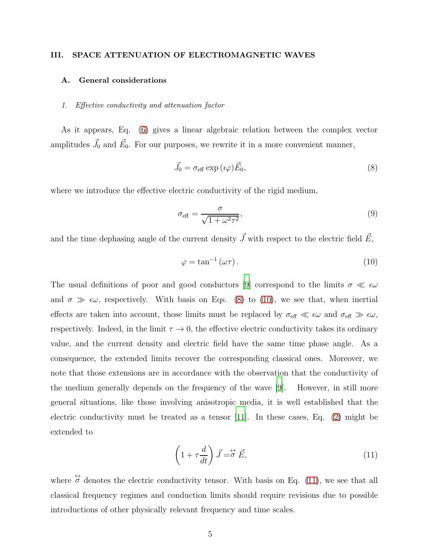# III. SPACE ATTENUATION OF ELECTROMAGNETIC WAVES

## A. General considerations

#### 1. Effective conductivity and attenuation factor

As it appears, Eq. [\(6\)](#page-3-2) gives a linear algebraic relation between the complex vector amplitudes  $\vec{J}_0$  and  $\vec{E}_0$ . For our purposes, we rewrite it in a more convenient manner,

<span id="page-4-0"></span>
$$
\vec{J}_0 = \sigma_{\text{eff}} \exp\left(i\varphi\right) \vec{E}_0,\tag{8}
$$

where we introduce the effective electric conductivity of the rigid medium,

<span id="page-4-3"></span>
$$
\sigma_{\text{eff}} = \frac{\sigma}{\sqrt{1 + \omega^2 \tau^2}},\tag{9}
$$

and the time dephasing angle of the current density  $\vec{J}$  with respect to the electric field  $\vec{E}$ ,

<span id="page-4-1"></span>
$$
\varphi = \tan^{-1}(\omega \tau). \tag{10}
$$

The usual definitions of poor and good conductors [\[9\]](#page-20-6) correspond to the limits  $\sigma \ll \epsilon \omega$ and  $\sigma \gg \epsilon \omega$ , respectively. With basis on Eqs. [\(8\)](#page-4-0) to [\(10\)](#page-4-1), we see that, when inertial effects are taken into account, those limits must be replaced by  $\sigma_{\text{eff}} \ll \epsilon \omega$  and  $\sigma_{\text{eff}} \gg \epsilon \omega$ , respectively. Indeed, in the limit  $\tau \to 0$ , the effective electric conductivity takes its ordinary value, and the current density and electric field have the same time phase angle. As a consequence, the extended limits recover the corresponding classical ones. Moreover, we note that those extensions are in accordance with the observation that the conductivity of the medium generally depends on the frequency of the wave [\[9](#page-20-6)]. However, in still more general situations, like those involving anisotropic media, it is well established that the electric conductivity must be treated as a tensor [\[11\]](#page-20-8). In these cases, Eq. [\(2\)](#page-1-0) might be extended to

<span id="page-4-2"></span>
$$
\left(1 + \tau \frac{d}{dt}\right) \vec{J} = \vec{\sigma} \ \vec{E},\tag{11}
$$

where  $\stackrel{\leftrightarrow}{\sigma}$  denotes the electric conductivity tensor. With basis on Eq. [\(11\)](#page-4-2), we see that all classical frequency regimes and conduction limits should require revisions due to possible introductions of other physically relevant frequency and time scales.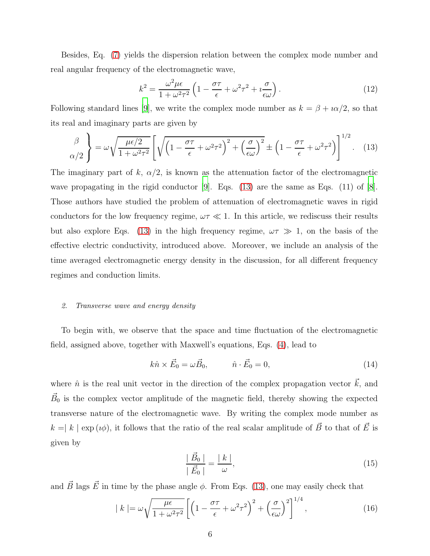Besides, Eq. [\(7\)](#page-3-1) yields the dispersion relation between the complex mode number and real angular frequency of the electromagnetic wave,

<span id="page-5-3"></span>
$$
k^2 = \frac{\omega^2 \mu \epsilon}{1 + \omega^2 \tau^2} \left( 1 - \frac{\sigma \tau}{\epsilon} + \omega^2 \tau^2 + i \frac{\sigma}{\epsilon \omega} \right). \tag{12}
$$

Following standard lines [\[9](#page-20-6)], we write the complex mode number as  $k = \beta + i\alpha/2$ , so that its real and imaginary parts are given by

<span id="page-5-0"></span>
$$
\frac{\beta}{\alpha/2} \left\} = \omega \sqrt{\frac{\mu \epsilon/2}{1 + \omega^2 \tau^2}} \left[ \sqrt{\left(1 - \frac{\sigma \tau}{\epsilon} + \omega^2 \tau^2\right)^2 + \left(\frac{\sigma}{\epsilon \omega}\right)^2} \pm \left(1 - \frac{\sigma \tau}{\epsilon} + \omega^2 \tau^2\right) \right]^{1/2} . \tag{13}
$$

The imaginary part of k,  $\alpha/2$ , is known as the attenuation factor of the electromagnetic wave propagating in the rigid conductor  $[9]$ . Eqs.  $(13)$  are the same as Eqs.  $(11)$  of  $[8]$ . Those authors have studied the problem of attenuation of electromagnetic waves in rigid conductors for the low frequency regime,  $\omega \tau \ll 1$ . In this article, we rediscuss their results but also explore Eqs. [\(13\)](#page-5-0) in the high frequency regime,  $\omega \tau \gg 1$ , on the basis of the effective electric conductivity, introduced above. Moreover, we include an analysis of the time averaged electromagnetic energy density in the discussion, for all different frequency regimes and conduction limits.

#### 2. Transverse wave and energy density

To begin with, we observe that the space and time fluctuation of the electromagnetic field, assigned above, together with Maxwell's equations, Eqs. [\(4\)](#page-3-3), lead to

$$
k\hat{n} \times \vec{E}_0 = \omega \vec{B}_0, \qquad \hat{n} \cdot \vec{E}_0 = 0,
$$
\n(14)

where  $\hat{n}$  is the real unit vector in the direction of the complex propagation vector  $\vec{k}$ , and  $\vec{B}_0$  is the complex vector amplitude of the magnetic field, thereby showing the expected transverse nature of the electromagnetic wave. By writing the complex mode number as  $k = |k| \exp(i\phi)$ , it follows that the ratio of the real scalar amplitude of  $\vec{B}~$  to that of  $\vec{E}$  is given by

<span id="page-5-2"></span>
$$
\frac{|\vec{B}_0|}{|\vec{E}_0|} = \frac{|k|}{\omega},\tag{15}
$$

and  $\vec{B}$  lags  $\vec{E}$  in time by the phase angle  $\phi$ . From Eqs. [\(13\)](#page-5-0), one may easily check that

<span id="page-5-1"></span>
$$
|k| = \omega \sqrt{\frac{\mu \epsilon}{1 + \omega^2 \tau^2}} \left[ \left( 1 - \frac{\sigma \tau}{\epsilon} + \omega^2 \tau^2 \right)^2 + \left( \frac{\sigma}{\epsilon \omega} \right)^2 \right]^{1/4},\tag{16}
$$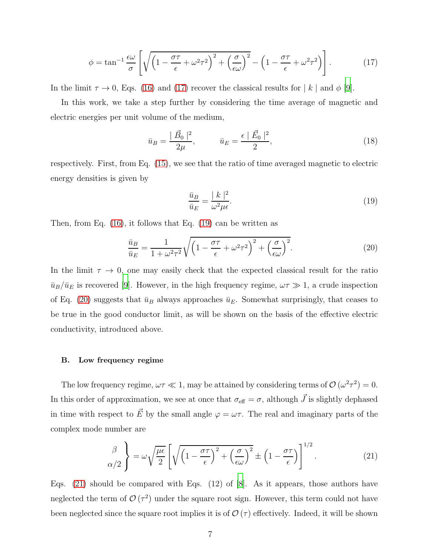<span id="page-6-0"></span>
$$
\phi = \tan^{-1} \frac{\epsilon \omega}{\sigma} \left[ \sqrt{\left(1 - \frac{\sigma \tau}{\epsilon} + \omega^2 \tau^2\right)^2 + \left(\frac{\sigma}{\epsilon \omega}\right)^2} - \left(1 - \frac{\sigma \tau}{\epsilon} + \omega^2 \tau^2\right) \right].
$$
 (17)

In the limit  $\tau \to 0$ , Eqs. [\(16\)](#page-5-1) and [\(17\)](#page-6-0) recover the classical results for  $|k|$  and  $\phi$  [\[9\]](#page-20-6).

In this work, we take a step further by considering the time average of magnetic and electric energies per unit volume of the medium,

$$
\bar{u}_B = \frac{|\vec{B}_0|^2}{2\mu}, \qquad \bar{u}_E = \frac{\epsilon}{2} \frac{|\vec{E}_0|^2}{2}, \tag{18}
$$

respectively. First, from Eq. [\(15\)](#page-5-2), we see that the ratio of time averaged magnetic to electric energy densities is given by

<span id="page-6-1"></span>
$$
\frac{\bar{u}_B}{\bar{u}_E} = \frac{|k|^2}{\omega^2 \mu \epsilon}.
$$
\n(19)

Then, from Eq. [\(16\)](#page-5-1), it follows that Eq. [\(19\)](#page-6-1) can be written as

<span id="page-6-2"></span>
$$
\frac{\bar{u}_B}{\bar{u}_E} = \frac{1}{1 + \omega^2 \tau^2} \sqrt{\left(1 - \frac{\sigma \tau}{\epsilon} + \omega^2 \tau^2\right)^2 + \left(\frac{\sigma}{\epsilon \omega}\right)^2}.
$$
\n(20)

In the limit  $\tau \to 0$ , one may easily check that the expected classical result for the ratio  $\bar{u}_B/\bar{u}_E$  is recovered [\[9](#page-20-6)]. However, in the high frequency regime,  $\omega \tau \gg 1$ , a crude inspection of Eq. [\(20\)](#page-6-2) suggests that  $\bar{u}_B$  always approaches  $\bar{u}_E$ . Somewhat surprisingly, that ceases to be true in the good conductor limit, as will be shown on the basis of the effective electric conductivity, introduced above.

#### B. Low frequency regime

The low frequency regime,  $\omega \tau \ll 1$ , may be attained by considering terms of  $\mathcal{O}(\omega^2 \tau^2) = 0$ . In this order of approximation, we see at once that  $\sigma_{\text{eff}} = \sigma$ , although  $\vec{J}$  is slightly dephased in time with respect to  $\vec{E}$  by the small angle  $\varphi = \omega \tau$ . The real and imaginary parts of the complex mode number are

<span id="page-6-3"></span>
$$
\frac{\beta}{\alpha/2} \left\} = \omega \sqrt{\frac{\mu \epsilon}{2}} \left[ \sqrt{\left( 1 - \frac{\sigma \tau}{\epsilon} \right)^2 + \left( \frac{\sigma}{\epsilon \omega} \right)^2} \pm \left( 1 - \frac{\sigma \tau}{\epsilon} \right) \right]^{1/2} . \tag{21}
$$

Eqs. [\(21\)](#page-6-3) should be compared with Eqs. (12) of [\[8\]](#page-20-5). As it appears, those authors have neglected the term of  $\mathcal{O}(\tau^2)$  under the square root sign. However, this term could not have been neglected since the square root implies it is of  $\mathcal{O}(\tau)$  effectively. Indeed, it will be shown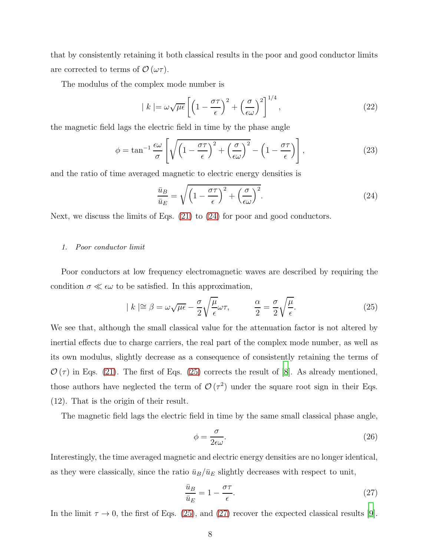that by consistently retaining it both classical results in the poor and good conductor limits are corrected to terms of  $\mathcal{O}(\omega \tau)$ .

The modulus of the complex mode number is

$$
|k| = \omega \sqrt{\mu \epsilon} \left[ \left( 1 - \frac{\sigma \tau}{\epsilon} \right)^2 + \left( \frac{\sigma}{\epsilon \omega} \right)^2 \right]^{1/4},\tag{22}
$$

the magnetic field lags the electric field in time by the phase angle

$$
\phi = \tan^{-1} \frac{\epsilon \omega}{\sigma} \left[ \sqrt{\left(1 - \frac{\sigma \tau}{\epsilon}\right)^2 + \left(\frac{\sigma}{\epsilon \omega}\right)^2} - \left(1 - \frac{\sigma \tau}{\epsilon}\right) \right],\tag{23}
$$

and the ratio of time averaged magnetic to electric energy densities is

<span id="page-7-0"></span>
$$
\frac{\bar{u}_B}{\bar{u}_E} = \sqrt{\left(1 - \frac{\sigma \tau}{\epsilon}\right)^2 + \left(\frac{\sigma}{\epsilon \omega}\right)^2}.
$$
\n(24)

Next, we discuss the limits of Eqs. [\(21\)](#page-6-3) to [\(24\)](#page-7-0) for poor and good conductors.

## 1. Poor conductor limit

Poor conductors at low frequency electromagnetic waves are described by requiring the condition  $\sigma \ll \epsilon \omega$  to be satisfied. In this approximation,

<span id="page-7-1"></span>
$$
|k| \approx \beta = \omega \sqrt{\mu \epsilon} - \frac{\sigma}{2} \sqrt{\frac{\mu}{\epsilon}} \omega \tau, \qquad \frac{\alpha}{2} = \frac{\sigma}{2} \sqrt{\frac{\mu}{\epsilon}}.
$$
 (25)

We see that, although the small classical value for the attenuation factor is not altered by inertial effects due to charge carriers, the real part of the complex mode number, as well as its own modulus, slightly decrease as a consequence of consistently retaining the terms of  $\mathcal{O}(\tau)$  in Eqs. [\(21\)](#page-6-3). The first of Eqs. [\(25\)](#page-7-1) corrects the result of [\[8](#page-20-5)]. As already mentioned, those authors have neglected the term of  $\mathcal{O}(\tau^2)$  under the square root sign in their Eqs. (12). That is the origin of their result.

The magnetic field lags the electric field in time by the same small classical phase angle,

$$
\phi = \frac{\sigma}{2\epsilon\omega}.\tag{26}
$$

Interestingly, the time averaged magnetic and electric energy densities are no longer identical, as they were classically, since the ratio  $\bar{u}_B/\bar{u}_E$  slightly decreases with respect to unit,

<span id="page-7-2"></span>
$$
\frac{\bar{u}_B}{\bar{u}_E} = 1 - \frac{\sigma \tau}{\epsilon}.\tag{27}
$$

In the limit  $\tau \to 0$ , the first of Eqs. [\(25\)](#page-7-1), and [\(27\)](#page-7-2) recover the expected classical results [\[9\]](#page-20-6).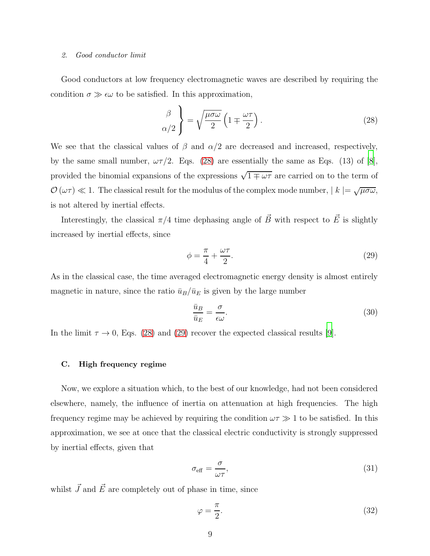#### 2. Good conductor limit

Good conductors at low frequency electromagnetic waves are described by requiring the condition  $\sigma \gg \epsilon \omega$  to be satisfied. In this approximation,

<span id="page-8-0"></span>
$$
\begin{pmatrix} \beta \\ \alpha/2 \end{pmatrix} = \sqrt{\frac{\mu \sigma \omega}{2}} \left( 1 \mp \frac{\omega \tau}{2} \right). \tag{28}
$$

We see that the classical values of  $\beta$  and  $\alpha/2$  are decreased and increased, respectively, by the same small number,  $\omega\tau/2$ . Eqs. [\(28\)](#page-8-0) are essentially the same as Eqs. (13) of [\[8\]](#page-20-5), provided the binomial expansions of the expressions  $\sqrt{1 \mp \omega \tau}$  are carried on to the term of  $\mathcal{O}(\omega \tau) \ll 1$ . The classical result for the modulus of the complex mode number,  $|k| = \sqrt{\mu \sigma \omega}$ , is not altered by inertial effects.

Interestingly, the classical  $\pi/4$  time dephasing angle of  $\vec{B}~$  with respect to  $\vec{E}$  is slightly increased by inertial effects, since

<span id="page-8-1"></span>
$$
\phi = \frac{\pi}{4} + \frac{\omega \tau}{2}.\tag{29}
$$

As in the classical case, the time averaged electromagnetic energy density is almost entirely magnetic in nature, since the ratio  $\bar{u}_B/\bar{u}_E$  is given by the large number

$$
\frac{\bar{u}_B}{\bar{u}_E} = \frac{\sigma}{\epsilon \omega}.\tag{30}
$$

In the limit  $\tau \to 0$ , Eqs. [\(28\)](#page-8-0) and [\(29\)](#page-8-1) recover the expected classical results [\[9](#page-20-6)].

## C. High frequency regime

Now, we explore a situation which, to the best of our knowledge, had not been considered elsewhere, namely, the influence of inertia on attenuation at high frequencies. The high frequency regime may be achieved by requiring the condition  $\omega \tau \gg 1$  to be satisfied. In this approximation, we see at once that the classical electric conductivity is strongly suppressed by inertial effects, given that

$$
\sigma_{\text{eff}} = \frac{\sigma}{\omega \tau},\tag{31}
$$

whilst  $\vec{J}$  and  $\vec{E}$  are completely out of phase in time, since

<span id="page-8-2"></span>
$$
\varphi = \frac{\pi}{2}.\tag{32}
$$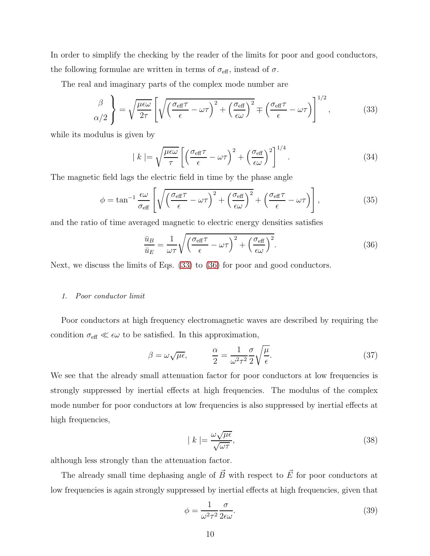In order to simplify the checking by the reader of the limits for poor and good conductors, the following formulae are written in terms of  $\sigma_{\text{eff}}$ , instead of  $\sigma$ .

The real and imaginary parts of the complex mode number are

<span id="page-9-0"></span>
$$
\frac{\beta}{\alpha/2} \left\} = \sqrt{\frac{\mu \epsilon \omega}{2\tau}} \left[ \sqrt{\left( \frac{\sigma_{\text{eff}} \tau}{\epsilon} - \omega \tau \right)^2 + \left( \frac{\sigma_{\text{eff}}}{\epsilon \omega} \right)^2} \mp \left( \frac{\sigma_{\text{eff}} \tau}{\epsilon} - \omega \tau \right) \right]^{1/2}, \tag{33}
$$

while its modulus is given by

$$
| k | = \sqrt{\frac{\mu \epsilon \omega}{\tau}} \left[ \left( \frac{\sigma_{\text{eff}} \tau}{\epsilon} - \omega \tau \right)^2 + \left( \frac{\sigma_{\text{eff}}}{\epsilon \omega} \right)^2 \right]^{1/4} . \tag{34}
$$

The magnetic field lags the electric field in time by the phase angle

$$
\phi = \tan^{-1} \frac{\epsilon \omega}{\sigma_{\text{eff}}} \left[ \sqrt{\left( \frac{\sigma_{\text{eff}} \tau}{\epsilon} - \omega \tau \right)^2 + \left( \frac{\sigma_{\text{eff}}}{\epsilon \omega} \right)^2} + \left( \frac{\sigma_{\text{eff}} \tau}{\epsilon} - \omega \tau \right) \right],\tag{35}
$$

and the ratio of time averaged magnetic to electric energy densities satisfies

<span id="page-9-1"></span>
$$
\frac{\bar{u}_B}{\bar{u}_E} = \frac{1}{\omega \tau} \sqrt{\left(\frac{\sigma_{\text{eff}} \tau}{\epsilon} - \omega \tau\right)^2 + \left(\frac{\sigma_{\text{eff}}}{\epsilon \omega}\right)^2}.
$$
\n(36)

Next, we discuss the limits of Eqs. [\(33\)](#page-9-0) to [\(36\)](#page-9-1) for poor and good conductors.

#### 1. Poor conductor limit

Poor conductors at high frequency electromagnetic waves are described by requiring the condition  $\sigma_{\text{eff}} \ll \epsilon \omega$  to be satisfied. In this approximation,

$$
\beta = \omega \sqrt{\mu \epsilon}, \qquad \frac{\alpha}{2} = \frac{1}{\omega^2 \tau^2} \frac{\sigma}{2} \sqrt{\frac{\mu}{\epsilon}}.
$$
\n(37)

We see that the already small attenuation factor for poor conductors at low frequencies is strongly suppressed by inertial effects at high frequencies. The modulus of the complex mode number for poor conductors at low frequencies is also suppressed by inertial effects at high frequencies,

$$
|k| = \frac{\omega \sqrt{\mu \epsilon}}{\sqrt{\omega \tau}},\tag{38}
$$

although less strongly than the attenuation factor.

The already small time dephasing angle of  $\vec{B}$  with respect to  $\vec{E}$  for poor conductors at low frequencies is again strongly suppressed by inertial effects at high frequencies, given that

$$
\phi = \frac{1}{\omega^2 \tau^2} \frac{\sigma}{2\epsilon \omega}.
$$
\n(39)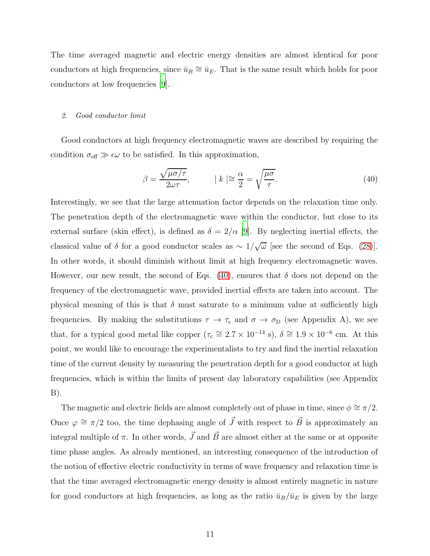The time averaged magnetic and electric energy densities are almost identical for poor conductors at high frequencies, since  $\bar{u}_B \cong \bar{u}_E$ . That is the same result which holds for poor conductors at low frequencies [\[9\]](#page-20-6).

## 2. Good conductor limit

Good conductors at high frequency electromagnetic waves are described by requiring the condition  $\sigma_{\text{eff}} \gg \epsilon \omega$  to be satisfied. In this approximation,

<span id="page-10-0"></span>
$$
\beta = \frac{\sqrt{\mu \sigma / \tau}}{2\omega \tau}, \qquad |k| \approx \frac{\alpha}{2} = \sqrt{\frac{\mu \sigma}{\tau}}.
$$
\n(40)

Interestingly, we see that the large attenuation factor depends on the relaxation time only. The penetration depth of the electromagnetic wave within the conductor, but close to its external surface (skin effect), is defined as  $\delta = 2/\alpha$  [\[9\]](#page-20-6). By neglecting inertial effects, the classical value of  $\delta$  for a good conductor scales as  $\sim 1/\sqrt{\omega}$  [see the second of Eqs. [\(28\)](#page-8-0)]. In other words, it should diminish without limit at high frequency electromagnetic waves. However, our new result, the second of Eqs. [\(40\)](#page-10-0), ensures that  $\delta$  does not depend on the frequency of the electromagnetic wave, provided inertial effects are taken into account. The physical meaning of this is that  $\delta$  must saturate to a minimum value at sufficiently high frequencies. By making the substitutions  $\tau \to \tau_c$  and  $\sigma \to \sigma_D$  (see Appendix A), we see that, for a typical good metal like copper  $(\tau_c \approx 2.7 \times 10^{-14} \text{ s})$ ,  $\delta \approx 1.9 \times 10^{-6} \text{ cm}$ . At this point, we would like to encourage the experimentalists to try and find the inertial relaxation time of the current density by measuring the penetration depth for a good conductor at high frequencies, which is within the limits of present day laboratory capabilities (see Appendix B).

The magnetic and electric fields are almost completely out of phase in time, since  $\phi \cong \pi/2$ . Once  $\varphi \cong \pi/2$  too, the time dephasing angle of  $\vec{J}$  with respect to  $\vec{B}$  is approximately an integral multiple of  $\pi$ . In other words,  $\vec{J}$  and  $\vec{B}$  are almost either at the same or at opposite time phase angles. As already mentioned, an interesting consequence of the introduction of the notion of effective electric conductivity in terms of wave frequency and relaxation time is that the time averaged electromagnetic energy density is almost entirely magnetic in nature for good conductors at high frequencies, as long as the ratio  $\bar{u}_B/\bar{u}_E$  is given by the large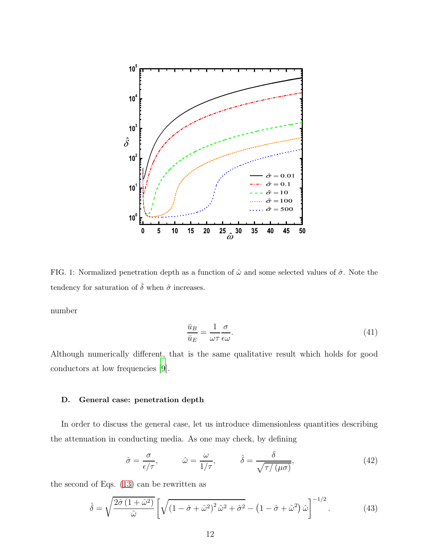

FIG. 1: Normalized penetration depth as a function of  $\hat{\omega}$  and some selected values of  $\hat{\sigma}$ . Note the tendency for saturation of  $\hat{\delta}$  when  $\hat{\sigma}$  increases.

number

$$
\frac{\bar{u}_B}{\bar{u}_E} = \frac{1}{\omega \tau} \frac{\sigma}{\epsilon \omega}.
$$
\n(41)

Although numerically different, that is the same qualitative result which holds for good conductors at low frequencies [\[9\]](#page-20-6).

## D. General case: penetration depth

In order to discuss the general case, let us introduce dimensionless quantities describing the attenuation in conducting media. As one may check, by defining

$$
\hat{\sigma} = \frac{\sigma}{\epsilon/\tau}, \qquad \hat{\omega} = \frac{\omega}{1/\tau}, \qquad \hat{\delta} = \frac{\delta}{\sqrt{\tau/(\mu\sigma)}}, \qquad (42)
$$

the second of Eqs. [\(13\)](#page-5-0) can be rewritten as

$$
\hat{\delta} = \sqrt{\frac{2\hat{\sigma}(1+\hat{\omega}^2)}{\hat{\omega}}} \left[ \sqrt{\left(1-\hat{\sigma}+\hat{\omega}^2\right)^2 \hat{\omega}^2 + \hat{\sigma}^2} - \left(1-\hat{\sigma}+\hat{\omega}^2\right) \hat{\omega} \right]^{-1/2} . \tag{43}
$$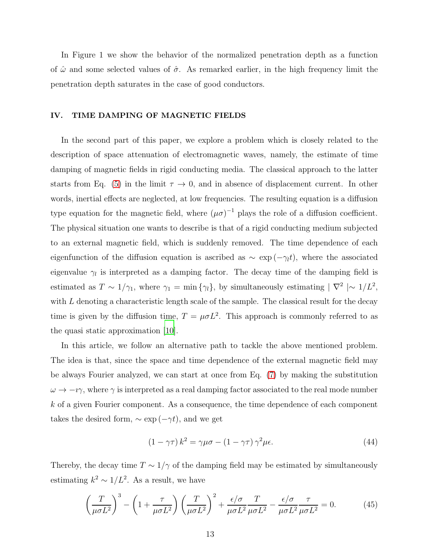In Figure 1 we show the behavior of the normalized penetration depth as a function of  $\hat{\omega}$  and some selected values of  $\hat{\sigma}$ . As remarked earlier, in the high frequency limit the penetration depth saturates in the case of good conductors.

## IV. TIME DAMPING OF MAGNETIC FIELDS

In the second part of this paper, we explore a problem which is closely related to the description of space attenuation of electromagnetic waves, namely, the estimate of time damping of magnetic fields in rigid conducting media. The classical approach to the latter starts from Eq. [\(5\)](#page-3-0) in the limit  $\tau \to 0$ , and in absence of displacement current. In other words, inertial effects are neglected, at low frequencies. The resulting equation is a diffusion type equation for the magnetic field, where  $(\mu \sigma)^{-1}$  plays the role of a diffusion coefficient. The physical situation one wants to describe is that of a rigid conducting medium subjected to an external magnetic field, which is suddenly removed. The time dependence of each eigenfunction of the diffusion equation is ascribed as  $\sim \exp(-\gamma_l t)$ , where the associated eigenvalue  $\gamma_l$  is interpreted as a damping factor. The decay time of the damping field is estimated as  $T \sim 1/\gamma_1$ , where  $\gamma_1 = \min{\{\gamma_l\}}$ , by simultaneously estimating  $|\nabla^2| \sim 1/L^2$ , with  $L$  denoting a characteristic length scale of the sample. The classical result for the decay time is given by the diffusion time,  $T = \mu \sigma L^2$ . This approach is commonly referred to as the quasi static approximation [\[10](#page-20-7)].

In this article, we follow an alternative path to tackle the above mentioned problem. The idea is that, since the space and time dependence of the external magnetic field may be always Fourier analyzed, we can start at once from Eq. [\(7\)](#page-3-1) by making the substitution  $\omega \to -i\gamma$ , where  $\gamma$  is interpreted as a real damping factor associated to the real mode number k of a given Fourier component. As a consequence, the time dependence of each component takes the desired form,  $\sim \exp(-\gamma t)$ , and we get

<span id="page-12-1"></span>
$$
(1 - \gamma \tau) k^2 = \gamma \mu \sigma - (1 - \gamma \tau) \gamma^2 \mu \epsilon.
$$
 (44)

Thereby, the decay time  $T \sim 1/\gamma$  of the damping field may be estimated by simultaneously estimating  $k^2 \sim 1/L^2$ . As a result, we have

<span id="page-12-0"></span>
$$
\left(\frac{T}{\mu\sigma L^2}\right)^3 - \left(1 + \frac{\tau}{\mu\sigma L^2}\right)\left(\frac{T}{\mu\sigma L^2}\right)^2 + \frac{\epsilon/\sigma}{\mu\sigma L^2}\frac{T}{\mu\sigma L^2} - \frac{\epsilon/\sigma}{\mu\sigma L^2}\frac{\tau}{\mu\sigma L^2} = 0.
$$
 (45)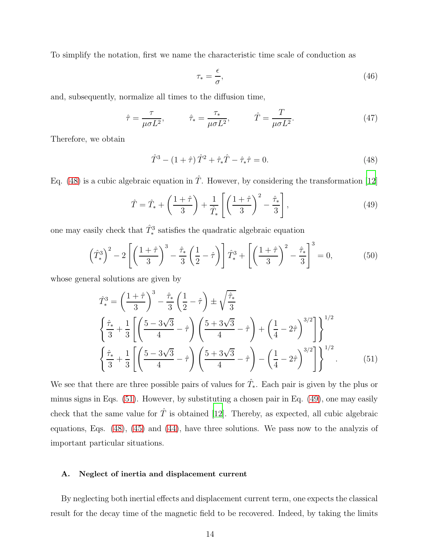To simplify the notation, first we name the characteristic time scale of conduction as

$$
\tau_* = \frac{\epsilon}{\sigma},\tag{46}
$$

and, subsequently, normalize all times to the diffusion time,

$$
\hat{\tau} = \frac{\tau}{\mu \sigma L^2}, \qquad \hat{\tau}_* = \frac{\tau_*}{\mu \sigma L^2}, \qquad \hat{T} = \frac{T}{\mu \sigma L^2}.
$$
\n(47)

Therefore, we obtain

<span id="page-13-0"></span>
$$
\hat{T}^3 - (1+\hat{\tau})\,\hat{T}^2 + \hat{\tau}_*\hat{T} - \hat{\tau}_*\hat{\tau} = 0.
$$
\n(48)

Eq. [\(48\)](#page-13-0) is a cubic algebraic equation in  $\hat{T}$ . However, by considering the transformation [\[12\]](#page-20-9)

<span id="page-13-2"></span>
$$
\hat{T} = \hat{T}_* + \left(\frac{1+\hat{\tau}}{3}\right) + \frac{1}{\hat{T}_*} \left[ \left(\frac{1+\hat{\tau}}{3}\right)^2 - \frac{\hat{\tau}_*}{3} \right],\tag{49}
$$

one may easily check that  $\hat{T}^3_*$  satisfies the quadratic algebraic equation

$$
\left(\hat{T}_*^3\right)^2 - 2\left[\left(\frac{1+\hat{\tau}}{3}\right)^3 - \frac{\hat{\tau}_*}{3}\left(\frac{1}{2}-\hat{\tau}\right)\right]\hat{T}_*^3 + \left[\left(\frac{1+\hat{\tau}}{3}\right)^2 - \frac{\hat{\tau}_*}{3}\right]^3 = 0,\tag{50}
$$

whose general solutions are given by

<span id="page-13-1"></span>
$$
\hat{T}_{*}^{3} = \left(\frac{1+\hat{\tau}}{3}\right)^{3} - \frac{\hat{\tau}_{*}}{3} \left(\frac{1}{2} - \hat{\tau}\right) \pm \sqrt{\frac{\hat{\tau}_{*}}{3}} \n\left\{\frac{\hat{\tau}_{*}}{3} + \frac{1}{3} \left[ \left(\frac{5-3\sqrt{3}}{4} - \hat{\tau}\right) \left(\frac{5+3\sqrt{3}}{4} - \hat{\tau}\right) + \left(\frac{1}{4} - 2\hat{\tau}\right)^{3/2} \right] \right\}^{1/2} \n\left\{\frac{\hat{\tau}_{*}}{3} + \frac{1}{3} \left[ \left(\frac{5-3\sqrt{3}}{4} - \hat{\tau}\right) \left(\frac{5+3\sqrt{3}}{4} - \hat{\tau}\right) - \left(\frac{1}{4} - 2\hat{\tau}\right)^{3/2} \right] \right\}^{1/2}.
$$
\n(51)

We see that there are three possible pairs of values for  $\hat{T}_*$ . Each pair is given by the plus or minus signs in Eqs. [\(51\)](#page-13-1). However, by substituting a chosen pair in Eq. [\(49\)](#page-13-2), one may easily check that the same value for  $\hat{T}$  is obtained [\[12\]](#page-20-9). Thereby, as expected, all cubic algebraic equations, Eqs. [\(48\)](#page-13-0), [\(45\)](#page-12-0) and [\(44\)](#page-12-1), have three solutions. We pass now to the analyzis of important particular situations.

## A. Neglect of inertia and displacement current

By neglecting both inertial effects and displacement current term, one expects the classical result for the decay time of the magnetic field to be recovered. Indeed, by taking the limits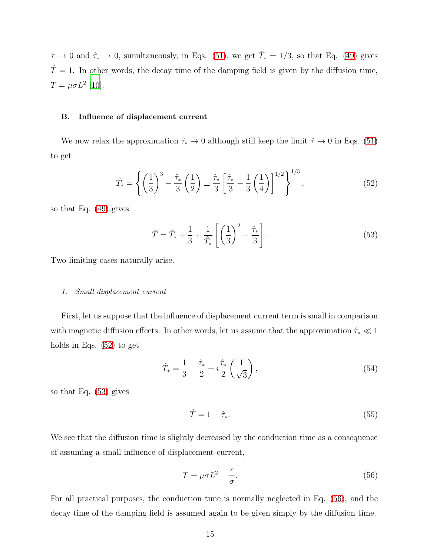$\hat{\tau} \to 0$  and  $\hat{\tau}_{*} \to 0$ , simultaneously, in Eqs. [\(51\)](#page-13-1), we get  $\hat{T}_{*} = 1/3$ , so that Eq. [\(49\)](#page-13-2) gives  $\hat{T} = 1$ . In other words, the decay time of the damping field is given by the diffusion time,  $T = \mu \sigma L^2$  [\[10\]](#page-20-7).

#### B. Influence of displacement current

We now relax the approximation  $\hat{\tau}_* \to 0$  although still keep the limit  $\hat{\tau} \to 0$  in Eqs. [\(51\)](#page-13-1) to get

<span id="page-14-0"></span>
$$
\hat{T}_{*} = \left\{ \left( \frac{1}{3} \right)^{3} - \frac{\hat{\tau}_{*}}{3} \left( \frac{1}{2} \right) \pm \frac{\hat{\tau}_{*}}{3} \left[ \frac{\hat{\tau}_{*}}{3} - \frac{1}{3} \left( \frac{1}{4} \right) \right]^{1/2} \right\}^{1/3},\tag{52}
$$

so that Eq. [\(49\)](#page-13-2) gives

<span id="page-14-1"></span>
$$
\hat{T} = \hat{T}_* + \frac{1}{3} + \frac{1}{\hat{T}_*} \left[ \left( \frac{1}{3} \right)^2 - \frac{\hat{\tau}_*}{3} \right].
$$
\n(53)

Two limiting cases naturally arise.

#### 1. Small displacement current

First, let us suppose that the influence of displacement current term is small in comparison with magnetic diffusion effects. In other words, let us assume that the approximation  $\hat{\tau}_* \ll 1$ holds in Eqs. [\(52\)](#page-14-0) to get

$$
\hat{T}_* = \frac{1}{3} - \frac{\hat{\tau}_*}{2} \pm i \frac{\hat{\tau}_*}{2} \left( \frac{1}{\sqrt{3}} \right),\tag{54}
$$

so that Eq. [\(53\)](#page-14-1) gives

$$
\hat{T} = 1 - \hat{\tau}_*.\tag{55}
$$

We see that the diffusion time is slightly decreased by the conduction time as a consequence of assuming a small influence of displacement current,

<span id="page-14-2"></span>
$$
T = \mu \sigma L^2 - \frac{\epsilon}{\sigma}.\tag{56}
$$

For all practical purposes, the conduction time is normally neglected in Eq. [\(56\)](#page-14-2), and the decay time of the damping field is assumed again to be given simply by the diffusion time.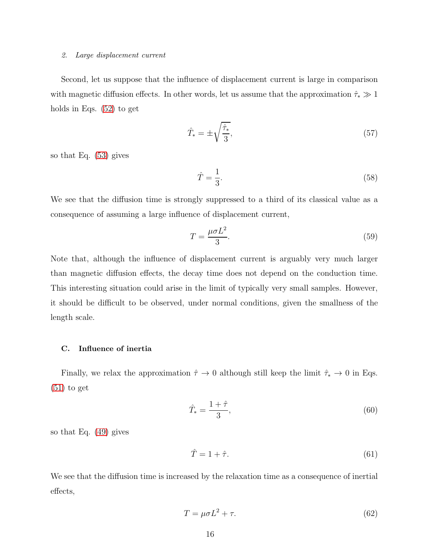#### 2. Large displacement current

Second, let us suppose that the influence of displacement current is large in comparison with magnetic diffusion effects. In other words, let us assume that the approximation  $\hat{\tau}_* \gg 1$ holds in Eqs. [\(52\)](#page-14-0) to get

$$
\hat{T}_* = \pm \sqrt{\frac{\hat{\tau}_*}{3}},\tag{57}
$$

so that Eq. [\(53\)](#page-14-1) gives

$$
\hat{T} = \frac{1}{3}.\tag{58}
$$

We see that the diffusion time is strongly suppressed to a third of its classical value as a consequence of assuming a large influence of displacement current,

<span id="page-15-0"></span>
$$
T = \frac{\mu \sigma L^2}{3}.
$$
\n(59)

Note that, although the influence of displacement current is arguably very much larger than magnetic diffusion effects, the decay time does not depend on the conduction time. This interesting situation could arise in the limit of typically very small samples. However, it should be difficult to be observed, under normal conditions, given the smallness of the length scale.

# C. Influence of inertia

Finally, we relax the approximation  $\hat{\tau} \to 0$  although still keep the limit  $\hat{\tau}_* \to 0$  in Eqs.  $(51)$  to get

$$
\hat{T}_* = \frac{1+\hat{\tau}}{3},\tag{60}
$$

so that Eq. [\(49\)](#page-13-2) gives

$$
\hat{T} = 1 + \hat{\tau}.\tag{61}
$$

We see that the diffusion time is increased by the relaxation time as a consequence of inertial effects,

<span id="page-15-1"></span>
$$
T = \mu \sigma L^2 + \tau. \tag{62}
$$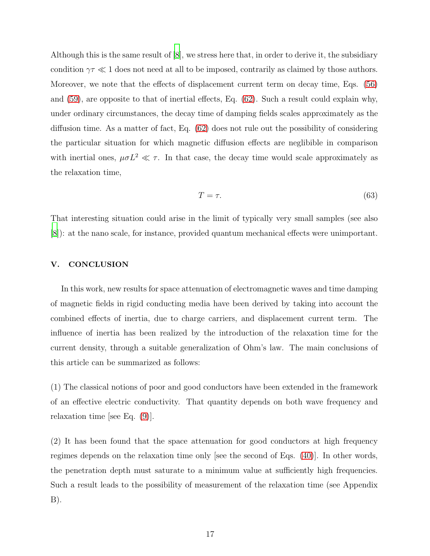Although this is the same result of [\[8](#page-20-5)], we stress here that, in order to derive it, the subsidiary condition  $\gamma \tau \ll 1$  does not need at all to be imposed, contrarily as claimed by those authors. Moreover, we note that the effects of displacement current term on decay time, Eqs. [\(56\)](#page-14-2) and [\(59\)](#page-15-0), are opposite to that of inertial effects, Eq. [\(62\)](#page-15-1). Such a result could explain why, under ordinary circumstances, the decay time of damping fields scales approximately as the diffusion time. As a matter of fact, Eq. [\(62\)](#page-15-1) does not rule out the possibility of considering the particular situation for which magnetic diffusion effects are neglibible in comparison with inertial ones,  $\mu \sigma L^2 \ll \tau$ . In that case, the decay time would scale approximately as the relaxation time,

<span id="page-16-0"></span>
$$
T = \tau. \tag{63}
$$

That interesting situation could arise in the limit of typically very small samples (see also [\[8](#page-20-5)]): at the nano scale, for instance, provided quantum mechanical effects were unimportant.

## V. CONCLUSION

In this work, new results for space attenuation of electromagnetic waves and time damping of magnetic fields in rigid conducting media have been derived by taking into account the combined effects of inertia, due to charge carriers, and displacement current term. The influence of inertia has been realized by the introduction of the relaxation time for the current density, through a suitable generalization of Ohm's law. The main conclusions of this article can be summarized as follows:

(1) The classical notions of poor and good conductors have been extended in the framework of an effective electric conductivity. That quantity depends on both wave frequency and relaxation time [see Eq. [\(9\)](#page-4-3)].

(2) It has been found that the space attenuation for good conductors at high frequency regimes depends on the relaxation time only [see the second of Eqs. [\(40\)](#page-10-0)]. In other words, the penetration depth must saturate to a minimum value at sufficiently high frequencies. Such a result leads to the possibility of measurement of the relaxation time (see Appendix B).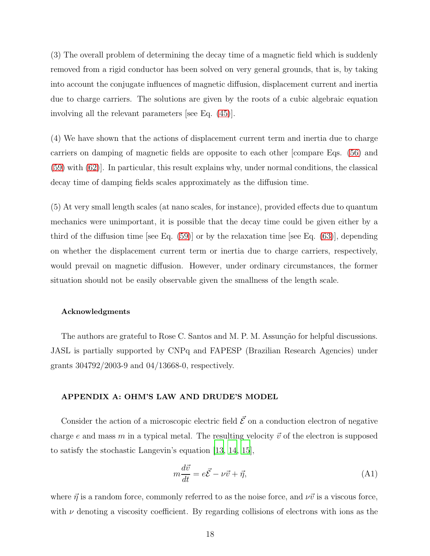(3) The overall problem of determining the decay time of a magnetic field which is suddenly removed from a rigid conductor has been solved on very general grounds, that is, by taking into account the conjugate influences of magnetic diffusion, displacement current and inertia due to charge carriers. The solutions are given by the roots of a cubic algebraic equation involving all the relevant parameters [see Eq. [\(45\)](#page-12-0)].

(4) We have shown that the actions of displacement current term and inertia due to charge carriers on damping of magnetic fields are opposite to each other [compare Eqs. [\(56\)](#page-14-2) and [\(59\)](#page-15-0) with [\(62\)](#page-15-1)]. In particular, this result explains why, under normal conditions, the classical decay time of damping fields scales approximately as the diffusion time.

(5) At very small length scales (at nano scales, for instance), provided effects due to quantum mechanics were unimportant, it is possible that the decay time could be given either by a third of the diffusion time [see Eq.  $(59)$ ] or by the relaxation time [see Eq.  $(63)$ ], depending on whether the displacement current term or inertia due to charge carriers, respectively, would prevail on magnetic diffusion. However, under ordinary circumstances, the former situation should not be easily observable given the smallness of the length scale.

## Acknowledgments

The authors are grateful to Rose C. Santos and M. P. M. Assunção for helpful discussions. JASL is partially supported by CNPq and FAPESP (Brazilian Research Agencies) under grants 304792/2003-9 and 04/13668-0, respectively.

## APPENDIX A: OHM'S LAW AND DRUDE'S MODEL

Consider the action of a microscopic electric field  $\vec{\mathcal{E}}$  on a conduction electron of negative charge e and mass m in a typical metal. The resulting velocity  $\vec{v}$  of the electron is supposed to satisfy the stochastic Langevin's equation [\[13](#page-20-10), [14](#page-20-11), [15](#page-20-12)],

<span id="page-17-0"></span>
$$
m\frac{d\vec{v}}{dt} = e\vec{\mathcal{E}} - \nu\vec{v} + \vec{\eta},\tag{A1}
$$

where  $\vec{\eta}$  is a random force, commonly referred to as the noise force, and  $\nu\vec{v}$  is a viscous force, with  $\nu$  denoting a viscosity coefficient. By regarding collisions of electrons with ions as the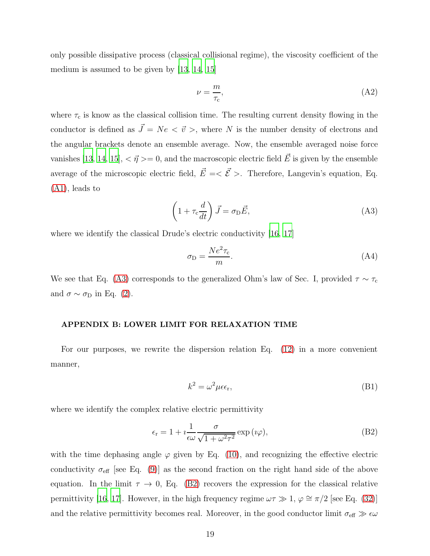only possible dissipative process (classical collisional regime), the viscosity coefficient of the medium is assumed to be given by [\[13,](#page-20-10) [14,](#page-20-11) [15](#page-20-12)]

$$
\nu = \frac{m}{\tau_{\rm c}},\tag{A2}
$$

where  $\tau_c$  is know as the classical collision time. The resulting current density flowing in the conductor is defined as  $\vec{J} = Ne < \vec{v} >$ , where N is the number density of electrons and the angular brackets denote an ensemble average. Now, the ensemble averaged noise force vanishes [\[13](#page-20-10), [14](#page-20-11), [15\]](#page-20-12),  $\langle \vec{\eta} \rangle = 0$ , and the macroscopic electric field  $\vec{E}$  is given by the ensemble average of the microscopic electric field,  $\vec{E} = \langle \vec{\mathcal{E}} \rangle$ . Therefore, Langevin's equation, Eq. [\(A1\)](#page-17-0), leads to

<span id="page-18-0"></span>
$$
\left(1 + \tau_c \frac{d}{dt}\right) \vec{J} = \sigma_{\text{D}} \vec{E},\tag{A3}
$$

where we identify the classical Drude's electric conductivity [\[16,](#page-20-13) [17\]](#page-20-14)

$$
\sigma_{\rm D} = \frac{Ne^2 \tau_{\rm c}}{m}.\tag{A4}
$$

We see that Eq. [\(A3\)](#page-18-0) corresponds to the generalized Ohm's law of Sec. I, provided  $\tau \sim \tau_c$ and  $\sigma \sim \sigma_{\rm D}$  in Eq. [\(2\)](#page-1-0).

# APPENDIX B: LOWER LIMIT FOR RELAXATION TIME

For our purposes, we rewrite the dispersion relation Eq. [\(12\)](#page-5-3) in a more convenient manner,

$$
k^2 = \omega^2 \mu \epsilon_{\rm r},\tag{B1}
$$

where we identify the complex relative electric permittivity

<span id="page-18-1"></span>
$$
\epsilon_{\rm r} = 1 + i \frac{1}{\epsilon \omega} \frac{\sigma}{\sqrt{1 + \omega^2 \tau^2}} \exp(i\varphi), \tag{B2}
$$

with the time dephasing angle  $\varphi$  given by Eq. [\(10\)](#page-4-1), and recognizing the effective electric conductivity  $\sigma_{\text{eff}}$  [see Eq. [\(9\)](#page-4-3)] as the second fraction on the right hand side of the above equation. In the limit  $\tau \to 0$ , Eq. [\(B2\)](#page-18-1) recovers the expression for the classical relative permittivity [\[16](#page-20-13), [17](#page-20-14)]. However, in the high frequency regime  $\omega \tau \gg 1$ ,  $\varphi \cong \pi/2$  [see Eq. [\(32\)](#page-8-2)] and the relative permittivity becomes real. Moreover, in the good conductor limit  $\sigma_{\text{eff}} \gg \epsilon \omega$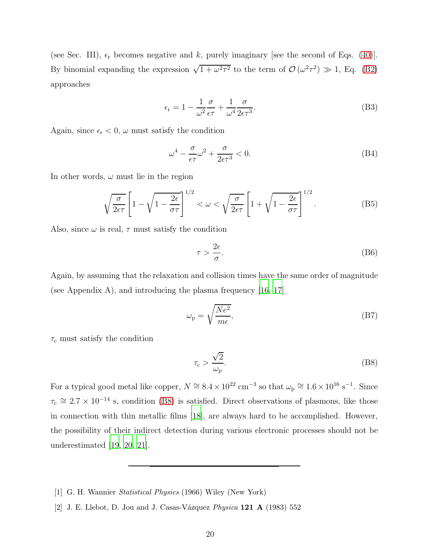(see Sec. III),  $\epsilon_r$  becomes negative and k, purely imaginary [see the second of Eqs. [\(40\)](#page-10-0)]. By binomial expanding the expression  $\sqrt{1 + \omega^2 \tau^2}$  to the term of  $\mathcal{O}(\omega^2 \tau^2) \gg 1$ , Eq. [\(B2\)](#page-18-1) approaches

$$
\epsilon_{\rm r} = 1 - \frac{1}{\omega^2} \frac{\sigma}{\epsilon \tau} + \frac{1}{\omega^4} \frac{\sigma}{2\epsilon \tau^3}.
$$
\n(B3)

Again, since  $\epsilon_r < 0$ ,  $\omega$  must satisfy the condition

$$
\omega^4 - \frac{\sigma}{\epsilon \tau} \omega^2 + \frac{\sigma}{2\epsilon \tau^3} < 0. \tag{B4}
$$

In other words,  $\omega$  must lie in the region

$$
\sqrt{\frac{\sigma}{2\epsilon\tau}} \left[ 1 - \sqrt{1 - \frac{2\epsilon}{\sigma\tau}} \right]^{1/2} < \omega < \sqrt{\frac{\sigma}{2\epsilon\tau}} \left[ 1 + \sqrt{1 - \frac{2\epsilon}{\sigma\tau}} \right]^{1/2} . \tag{B5}
$$

Also, since  $\omega$  is real,  $\tau$  must satisfy the condition

$$
\tau > \frac{2\epsilon}{\sigma}.\tag{B6}
$$

Again, by assuming that the relaxation and collision times have the same order of magnitude (see Appendix A), and introducing the plasma frequency [\[16,](#page-20-13) [17\]](#page-20-14)

$$
\omega_{\rm p} = \sqrt{\frac{Ne^2}{m\epsilon}},\tag{B7}
$$

 $\tau_c$  must satisfy the condition

<span id="page-19-2"></span>
$$
\tau_{\rm c} > \frac{\sqrt{2}}{\omega_{\rm p}}.\tag{B8}
$$

For a typical good metal like copper,  $N \cong 8.4 \times 10^{22}$  cm<sup>-3</sup> so that  $\omega_{\rm p} \cong 1.6 \times 10^{16}$  s<sup>-1</sup>. Since  $\tau_c \approx 2.7 \times 10^{-14}$  s, condition [\(B8\)](#page-19-2) is satisfied. Direct observations of plasmons, like those in connection with thin metallic films [\[18\]](#page-20-15), are always hard to be accomplished. However, the possibility of their indirect detection during various electronic processes should not be underestimated [\[19,](#page-20-16) [20,](#page-20-17) [21](#page-20-18)].

- <span id="page-19-0"></span>[1] G. H. Wannier Statistical Physics (1966) Wiley (New York)
- <span id="page-19-1"></span>[2] J. E. Llebot, D. Jou and J. Casas-Vázquez Physica  $121 \text{ A}$  (1983) 552